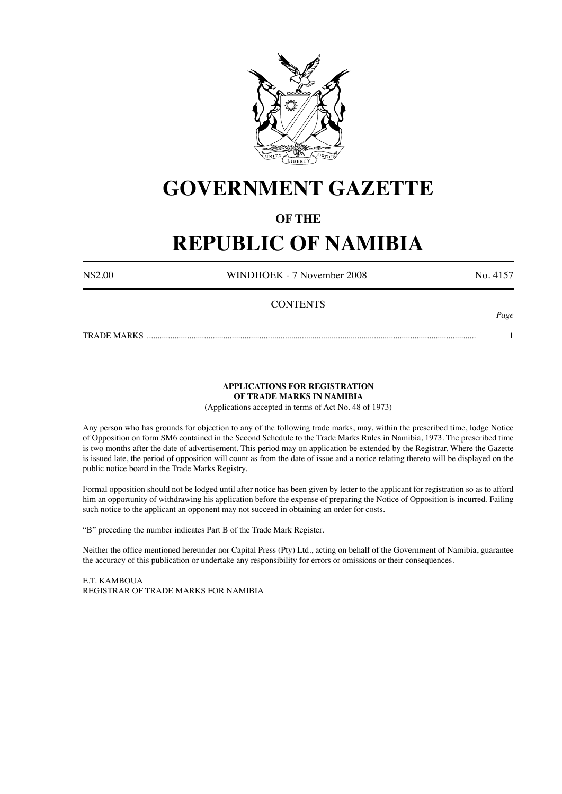

# **GOVERNMENT GAZETTE**

# **OF THE**

# **REPUBLIC OF NAMIBIA**

N\$2.00 WINDHOEK - 7 November 2008 No. 4157

*Page*

# **CONTENTS**

TRADE MARKS ........................................................................................................................................................... 1

\_\_\_\_\_\_\_\_\_\_\_\_\_\_\_\_\_\_\_\_\_\_\_\_\_

# **APPLICATIONS FOR REGISTRATION OF TRADE MARKS IN NAMIBIA**

(Applications accepted in terms of Act No. 48 of 1973)

Any person who has grounds for objection to any of the following trade marks, may, within the prescribed time, lodge Notice of Opposition on form SM6 contained in the Second Schedule to the Trade Marks Rules in Namibia, 1973. The prescribed time is two months after the date of advertisement. This period may on application be extended by the Registrar. Where the Gazette is issued late, the period of opposition will count as from the date of issue and a notice relating thereto will be displayed on the public notice board in the Trade Marks Registry.

Formal opposition should not be lodged until after notice has been given by letter to the applicant for registration so as to afford him an opportunity of withdrawing his application before the expense of preparing the Notice of Opposition is incurred. Failing such notice to the applicant an opponent may not succeed in obtaining an order for costs.

"B" preceding the number indicates Part B of the Trade Mark Register.

Neither the office mentioned hereunder nor Capital Press (Pty) Ltd., acting on behalf of the Government of Namibia, guarantee the accuracy of this publication or undertake any responsibility for errors or omissions or their consequences.

\_\_\_\_\_\_\_\_\_\_\_\_\_\_\_\_\_\_\_\_\_\_\_\_\_

E.T. KAMBOUA REGISTRAR OF TRADE MARKS FOR NAMIBIA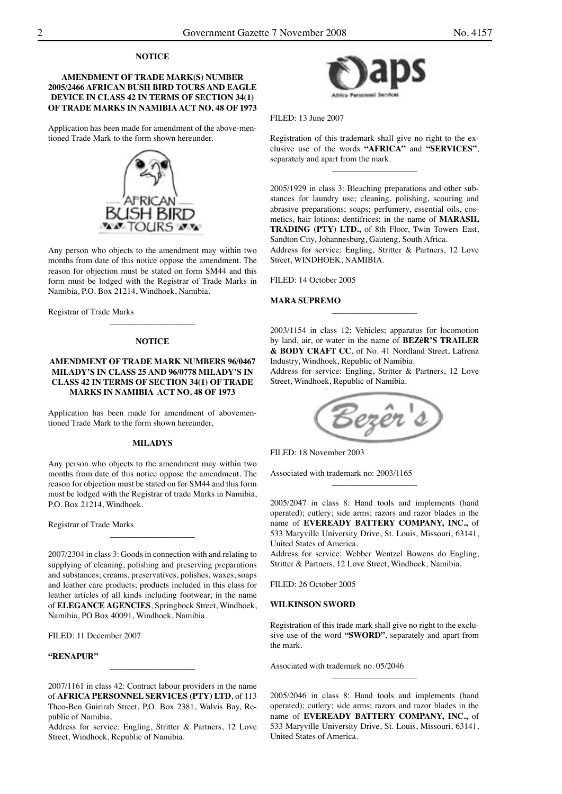### **NOTICE**

# **AMENDMENT OF TRADE MARK(S) NUMBER 2005/2466 AFRICAN BUSH BIRD TOURS AND EAGLE DEVICE IN CLASS 42 IN TERMS OF SECTION 34(1) OF TRADE MARKS IN NAMIBIA ACT NO. 48 OF 1973**

Application has been made for amendment of the above-mentioned Trade Mark to the form shown hereunder.



Any person who objects to the amendment may within two months from date of this notice oppose the amendment. The reason for objection must be stated on form SM44 and this form must be lodged with the Registrar of Trade Marks in Namibia, P.O. Box 21214, Windhoek, Namibia.

Registrar of Trade Marks

#### **NOTICE**

\_\_\_\_\_\_\_\_\_\_\_\_\_\_\_\_\_\_\_\_

# **AMENDMENT OF TRADE MARK NUMBERS 96/0467 MILADY'S IN CLASS 25 AND 96/0778 MILADY'S IN CLASS 42 IN TERMS OF SECTION 34(1) OF TRADE MARKS IN NAMIBIA ACT NO. 48 OF 1973**

Application has been made for amendment of abovementioned Trade Mark to the form shown hereunder,

#### **MILADYS**

Any person who objects to the amendment may within two months from date of this notice oppose the amendment. The reason for objection must be stated on for SM44 and this form must be lodged with the Registrar of trade Marks in Namibia, P.O. Box 21214, Windhoek.

Registrar of Trade Marks

2007/2304 in class 3: Goods in connection with and relating to supplying of cleaning, polishing and preserving preparations and substances; creams, preservatives, polishes, waxes, soaps and leather care products; products included in this class for leather articles of all kinds including footwear; in the name of **ELEGANCE AGENCIES**, Springbock Street, Windhoek, Namibia, PO Box 40091, Windhoek, Namibia.

\_\_\_\_\_\_\_\_\_\_\_\_\_\_\_\_\_\_\_\_

FILED: 11 December 2007

#### **"RENAPUR"**

\_\_\_\_\_\_\_\_\_\_\_\_\_\_\_\_\_\_\_\_

Address for service: Engling, Stritter & Partners, 12 Love Street, Windhoek, Republic of Namibia.



FILED: 13 June 2007

Registration of this trademark shall give no right to the exclusive use of the words **"AFRICA"** and **"SERVICES"**, separately and apart from the mark.

\_\_\_\_\_\_\_\_\_\_\_\_\_\_\_\_\_\_\_\_

2005/1929 in class 3: Bleaching preparations and other substances for laundry use; cleaning, polishing, scouring and abrasive preparations; soaps; perfumery, essential oils, cosmetics, hair lotions; dentifrices: in the name of **MARASIL TRADING (PTY) LTD.,** of 8th Floor, Twin Towers East, Sandton City, Johannesburg, Gauteng, South Africa.

Address for service: Engling, Stritter & Partners, 12 Love Street, WINDHOEK, NAMIBIA.

FILED: 14 October 2005

#### **MARA SUPREMO**

2003/1154 in class 12: Vehicles; apparatus for locomotion by land, air, or water in the name of **BEZêR'S TRAILER & BODY CRAFT CC**, of No. 41 Nordland Street, Lafrenz Industry, Windhoek, Republic of Namibia.

\_\_\_\_\_\_\_\_\_\_\_\_\_\_\_\_\_\_\_\_

Address for service: Engling, Stritter & Partners, 12 Love Street, Windhoek, Republic of Namibia.



FILED: 18 November 2003

Associated with trademark no: 2003/1165

2005/2047 in class 8: Hand tools and implements (hand operated); cutlery; side arms; razors and razor blades in the name of **EVEREADY BATTERY COMPANY, INC.,** of 533 Maryville University Drive, St. Louis, Missouri, 63141, United States of America.

\_\_\_\_\_\_\_\_\_\_\_\_\_\_\_\_\_\_\_\_

Address for service: Webber Wentzel Bowens do Engling, Stritter & Partners, 12 Love Street, Windhoek, Namibia.

FILED: 26 October 2005

# **WILKINSON SWORD**

Registration of this trade mark shall give no right to the exclusive use of the word **"SWORD"**, separately and apart from the mark.

\_\_\_\_\_\_\_\_\_\_\_\_\_\_\_\_\_\_\_\_

Associated with trademark no. 05/2046

2005/2046 in class 8: Hand tools and implements (hand operated); cutlery; side arms; razors and razor blades in the name of **EVEREADY BATTERY COMPANY, INC.,** of 533 Maryville University Drive, St. Louis, Missouri, 63141, United States of America.

<sup>2007/1161</sup> in class 42: Contract labour providers in the name of **AFRICA PERSONNEL SERVICES (PTY) LTD**, of 113 Theo-Ben Guirirab Street, P.O. Box 2381, Walvis Bay, Republic of Namibia.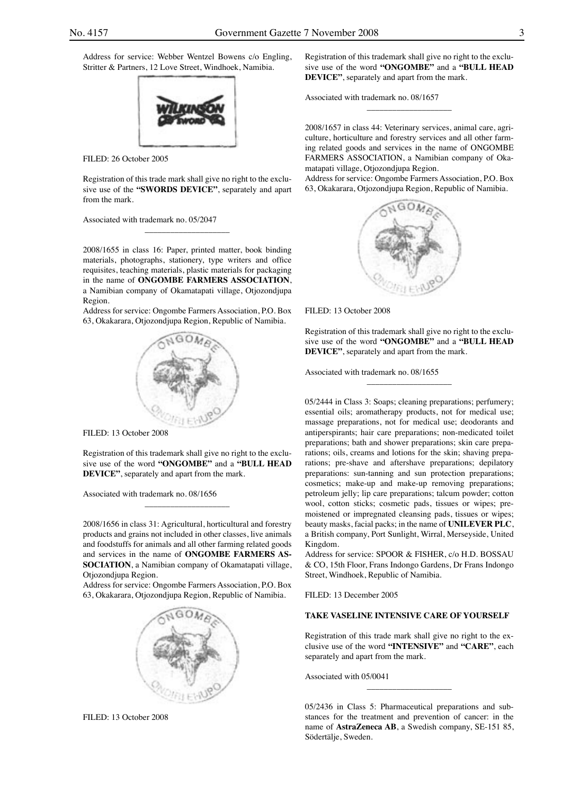Address for service: Webber Wentzel Bowens c/o Engling, Stritter & Partners, 12 Love Street, Windhoek, Namibia.



FILED: 26 October 2005

Registration of this trade mark shall give no right to the exclusive use of the **"SWORDS DEVICE"**, separately and apart from the mark.

\_\_\_\_\_\_\_\_\_\_\_\_\_\_\_\_\_\_\_\_

Associated with trademark no. 05/2047

2008/1655 in class 16: Paper, printed matter, book binding materials, photographs, stationery, type writers and office requisites, teaching materials, plastic materials for packaging in the name of **ONGOMBE FARMERS ASSOCIATION**, a Namibian company of Okamatapati village, Otjozondjupa Region.

Address for service: Ongombe Farmers Association, P.O. Box 63, Okakarara, Otjozondjupa Region, Republic of Namibia.



FILED: 13 October 2008

Registration of this trademark shall give no right to the exclusive use of the word **"ONGOMBE"** and a **"BULL HEAD DEVICE"**, separately and apart from the mark.

\_\_\_\_\_\_\_\_\_\_\_\_\_\_\_\_\_\_\_\_

Associated with trademark no. 08/1656

2008/1656 in class 31: Agricultural, horticultural and forestry products and grains not included in other classes, live animals and foodstuffs for animals and all other farming related goods and services in the name of **ONGOMBE FARMERS AS-SOCIATION**, a Namibian company of Okamatapati village, Otjozondjupa Region.

Address for service: Ongombe Farmers Association, P.O. Box 63, Okakarara, Otjozondjupa Region, Republic of Namibia.



FILED: 13 October 2008

Registration of this trademark shall give no right to the exclusive use of the word **"ONGOMBE"** and a **"BULL HEAD DEVICE"**, separately and apart from the mark.

 $\_$ 

Associated with trademark no. 08/1657

2008/1657 in class 44: Veterinary services, animal care, agriculture, horticulture and forestry services and all other farming related goods and services in the name of ONGOMBE FARMERS ASSOCIATION, a Namibian company of Okamatapati village, Otjozondjupa Region.

Address for service: Ongombe Farmers Association, P.O. Box 63, Okakarara, Otjozondjupa Region, Republic of Namibia.



FILED: 13 October 2008

Registration of this trademark shall give no right to the exclusive use of the word **"ONGOMBE"** and a **"BULL HEAD DEVICE"**, separately and apart from the mark.

 $\_$ 

Associated with trademark no. 08/1655

05/2444 in Class 3: Soaps; cleaning preparations; perfumery; essential oils; aromatherapy products, not for medical use; massage preparations, not for medical use; deodorants and antiperspirants; hair care preparations; non-medicated toilet preparations; bath and shower preparations; skin care preparations; oils, creams and lotions for the skin; shaving preparations; pre-shave and aftershave preparations; depilatory preparations: sun-tanning and sun protection preparations; cosmetics; make-up and make-up removing preparations; petroleum jelly; lip care preparations; talcum powder; cotton wool, cotton sticks; cosmetic pads, tissues or wipes; premoistened or impregnated cleansing pads, tissues or wipes; beauty masks, facial packs; in the name of **UNILEVER PLC**, a British company, Port Sunlight, Wirral, Merseyside, United Kingdom.

Address for service: SPOOR & FISHER, c/o H.D. BOSSAU & CO, 15th Floor, Frans Indongo Gardens, Dr Frans Indongo Street, Windhoek, Republic of Namibia.

FILED: 13 December 2005

# **TAKE VASELINE INTENSIVE CARE OF YOURSELF**

Registration of this trade mark shall give no right to the exclusive use of the word **"INTENSIVE"** and **"CARE"**, each separately and apart from the mark.

Associated with 05/0041

05/2436 in Class 5: Pharmaceutical preparations and substances for the treatment and prevention of cancer: in the name of **AstraZeneca AB**, a Swedish company, SE-151 85, Södertälje, Sweden.

 $\_$